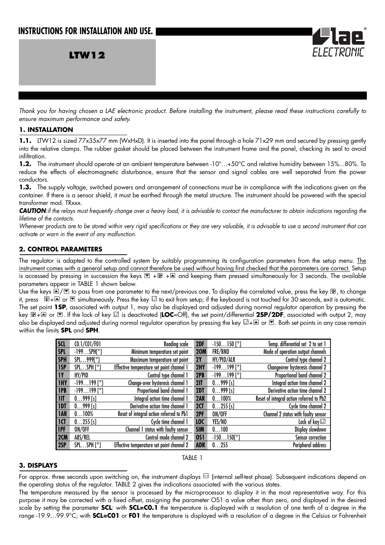**LTW12**

*Thank you for having chosen a LAE electronic product. Before installing the instrument, please read these instructions carefully to ensure maximum performance and safety.*

#### **1. INSTALLATION**

**1.1.** LTW12 is sized 77x35x77 mm (WxHxD). It is inserted into the panel through a hole 71x29 mm and secured by pressing gently into the relative clamps. The rubber gasket should be placed between the instrument frame and the panel, checking its seal to avoid infiltration.

1.2. The instrument should operate at an ambient temperature between -10°...+50°C and relative humidity between 15%...80%. To reduce the effects of electromagnetic disturbance, ensure that the sensor and signal cables are well separated from the power conductors.

**1.3.** The supply voltage, switched powers and arrangement of connections must be in compliance with the indications given on the container. If there is a sensor shield, it must be earthed through the metal structure. The instrument should be powered with the special transformer mod. TRxxx.

**CAUTION**: if the relays must frequently change over a heavy load, it is advisable to contact the manufacturer to obtain indications regarding the *lifetime of the contacts.*

*Whenever products are to be stored within very rigid specifications or they are very valuable, it is advisable to use a second instrument that can activate or warn in the event of any malfunction.*

## **2. CONTROL PARAMETERS**

The regulator is adapted to the controlled system by suitably programming its configuration parameters from the setup menu. The instrument comes with a general setup and cannot therefore be used without having first checked that the parameters are correct. Setup is accessed by pressing in succession the keys  $\Box$  +  $\Box$  and keeping them pressed simultaneously for 3 seconds. The available parameters appear in TABLE 1 shown below.

.<br>Use the keys A/I to pass from one parameter to the next/previous one. To display the correlated value, press the key H, to change it, press  $\mathbb{E} + \mathbb{E}$  or  $\mathbb{E}$  simultaneously. Press the key  $\mathbb{E}$  to exit from setup; if the keyboard is not touched for 30 seconds, exit is automatic. The set point **1SP**, associated with output 1, may also be displayed and adjusted during normal regulator operation by pressing the key  $E + \triangleq$  or  $\Box$ . If the lock of key  $\Box$  is deactivated (LOC=Off), the set point/differential 2SP/2DF, associated with output 2, may also be displayed and adjusted during normal regulator operation by pressing the key  $\boxdot$  +  $\blacksquare$  or  $\blacksquare$ . Both set points in any case remain within the limits **SPL** and **SPH**.

| <b>SCL</b>              | (0.1/(01/F01))           | <b>Reading scale</b>                      | 2DF        | $-150150$ [°]       | Temp. differential set 2 to set 1        |
|-------------------------|--------------------------|-------------------------------------------|------------|---------------------|------------------------------------------|
| <b>SPL</b>              | $-199$ SPH[ $^{\circ}$ ] | Minimum temperature set point             | <b>20M</b> | FRE/BND             | Mode of operation output channels        |
| <b>SPH</b>              | $SPL999[^{\circ}]$       | Maximum temperature set point             | 2Y         | HY/PID/ALR          | Control type channel 2                   |
| 1SP                     | $SPLSPH[^{\circ}]$       | Effective temperature set point channel 1 | 2HY        | $-199199$ [°]       | Changeover hysteresis channel 2          |
| <b>IY</b>               | HY/PID                   | Control type channel 1                    | 2PB        | $-199199$ [°]       | Proportional band channel 2              |
| <b>IHY</b>              | $-199199$ [°]            | Change-over hysteresis channel 1          | 2IT        | $0999$ [s]          | Integral action time channel 2           |
| 1PB                     | $-199199$ [°]            | Proportional band channel 1               | 2DT        | $0999$ [s]          | Derivative action time channel 2         |
| $\overline{\mathsf{I}}$ | $0999$ [s]               | Integral action time channel 1            | 2AR        | 0100%               | Reset of integral action referred to Pb2 |
| <b>IDT</b>              | $0999$ [s]               | Derivative action time channel 1          | 2CT        | $0255$ [s]          | Cycle time channel 2                     |
| <b>IAR</b>              | 0100%                    | Reset of integral action referred to Pb1  | 2PF        | ON/OFF              | Channel 2 status with faulty sensor      |
| ICT                     | $0255$ [s]               | Cycle time channel 1                      | <b>LOC</b> | YES/NO              | Lock of key                              |
| <b>IPF</b>              | ON/OFF                   | Channel 1 status with faulty sensor       | <b>SIM</b> | 0100                | Display slowdown                         |
| 2CM                     | ABS/REL                  | Control mode channel 2                    | <b>0S1</b> | $-150150[^{\circ}]$ | Sensor correction                        |
| 2SP                     | SPLSPH [°]               | Effective temperature set point channel 2 | <b>ADR</b> | 0255                | Peripheral address                       |

#### TABLE 1

### **3. DISPLAYS**

For approx. three seconds upon switching on, the instrument displays  $\Box$  (internal self-test phase). Subsequent indications depend on the operating status of the regulator. TABLE 2 gives the indications associated with the various states.

The temperature measured by the sensor is processed by the microprocessor to display it in the most representative way. For this purpose it may be corrected with a fixed offset, assigning the parameter OS1 a value other than zero, and displayed in the desired scale by setting the parameter **SCL**: with **SCL=C0.1** the temperature is displayed with a resolution of one tenth of a degree in the range -19.9…99.9°C; with **SCL=C01** or **F01** the temperature is displayed with a resolution of a degree in the Celsius or Fahrenheit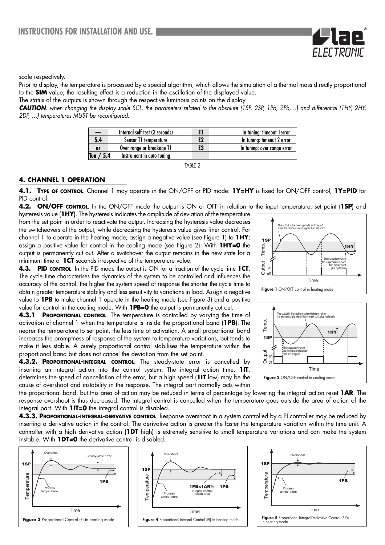

Prior to display, the temperature is processed by a special algorithm, which allows the simulation of a thermal mass directly proportional to the **SIM** value; the resulting effect is a reduction in the oscillation of the displayed value.

The status of the outputs is shown through the respective luminous points on the display.

*CAUTION: when changing the display scale SCL, the parameters related to the absolute (1SP, 2SP, 1Pb, 2Pb,…) and differential (1HY, 2HY, 2DF, …) temperatures MUST be reconfigured.*

| $- - -$     | Internal self-test (3 seconds) |    | In tuning: timeout lerror   |
|-------------|--------------------------------|----|-----------------------------|
| 5.4         | Sensor T1 temperature          | E2 | In tuning: timeout 2 error  |
| <b>or</b>   | Over range or breakage T1      | E3 | In tuning: over range error |
| Tun $/ 5.4$ | Instrument in auto-tuning      |    |                             |

TABLE 2

# **4. CHANNEL 1 OPERATION**

**4.1. TYPE OF CONTROL**. Channel 1 may operate in the ON/OFF or PID mode: **1Y=HY** is fixed for ON/OFF control, **1Y=PID** for PID control.

**4.2. ON/OFF CONTROL**. In the ON/OFF mode the output is ON or OFF in relation to the input temperature, set point (**1SP**) and hysteresis value (**1HY**). The hysteresis indicates the amplitude of deviation of the temperature from the set point in order to reactivate the output. Increasing the hysteresis value decreases the switcheovers of the output, while decreasing the hysteresis value gives finer control. For channel 1 to operate in the heating mode, assign a negative value (see Figure 1) to **1HY**; assign a positive value for control in the cooling mode (see Figure 2). With **1HY=0** the output is permanently cut out. After a switchover the output remains in the new state for a minimum time of **1CT** seconds irrespective of the temperature value.

**4.3. PID CONTROL**. In the PID mode the output is ON for a fraction of the cycle time **1CT**. The cycle time characterises the dynamics of the system to be controlled and influences the accuracy of the control: the higher the system speed of response the shorter the cycle time to obtain greater temperature stability and less sensitivity to variations in load. Assign a negative value to **1PB** to make channel 1 operate in the heating mode (see Figure 3) and a positive value for control in the cooling mode. With **1PB=0** the output is permanently cut out.

**4.3.1 PROPORTIONAL CONTROL**. The temperature is controlled by varying the time of activation of channel 1 when the temperature is inside the proportional band (**1PB**). The nearer the temperature to set point, the less time of activation. A small proportional band increases the promptness of response of the system to temperature variations, but tends to make it less stable. A purely proportional control stabilises the temperature within the proportional band but does not cancel the deviation from the set point.

**4.3.2. PROPORTIONAL-INTEGRAL CONTROL**. The steady-state error is cancelled by inserting an integral action into the control system. The integral action time, **1IT**, determines the speed of cancellation of the error, but a high speed (**1IT** low) may be the cause of overshoot and instability in the response. The integral part normally acts within

1SP 1HY Temp. **The output is on** the temperature is lower than the set point plus hysteresis Time Output The output in the heating mode switches off<br>when the temperature is higher than set point on off **Figure 1** ON/OFF control in heating mode



the proportional band, but this area of action may be reduced in terms of percentage by lowering the integral action reset **1AR**. The response overshoot is thus decreased. The integral control is cancelled when the temperature goes outside the area of action of the integral part. With **1IT=0** the integral control is disabled.

**4.3.3. PROPORTIONAL-INTEGRAL-DERIVATIVE CONTROL**. Response overshoot in a system controlled by a PI controller may be reduced by inserting a derivative action in the control. The derivative action is greater the faster the temperature variation within the time unit. A controller with a high derivative action (**1DT** high) is extremely sensitive to small temperature variations and can make the system instable. With **1DT=0** the derivative control is disabled.





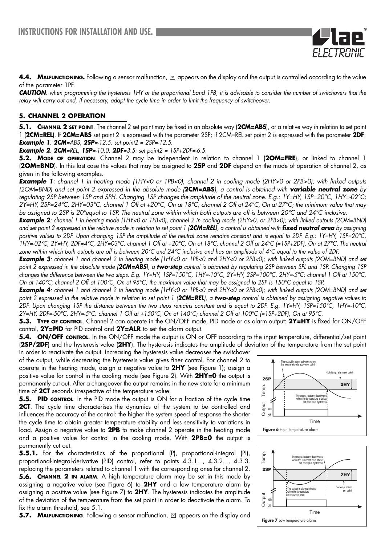

*CAUTION: when programming the hysteresis 1HY or the proportional band 1PB, it is advisable to consider the number of switchovers that the relay will carry out and, if necessary, adapt the cycle time in order to limit the frequency of switcheover.*

### **5. CHANNEL 2 OPERATION**

**5.1. CHANNEL 2 SET POINT**. The channel 2 set point may be fixed in an absolute way (**2CM=ABS**), or a relative way in relation to set point 1 (**2CM=REL**). If **2CM=ABS** set point 2 is expressed with the parameter 2SP; if 2CM=REL set point 2 is expressed with the parameter **2DF**. *Example 1: 2CM=ABS, 2SP=-12.5: set point2 = 2SP=-12.5.* 

*Example 2: 2CM=REL, 1SP=-10.0, 2DF=3.5: set point2 = 1SP+2DF=-6.5.* 

**5.2. MODE OF OPERATION**. Channel 2 may be independent in relation to channel 1 (**2OM=FRE**), or linked to channel 1 (**2OM=BND**). In this last case the values that may be assigned to **2SP** and **2DF** depend on the mode of operation of channel 2, as given in the following examples.

*Example 1: channel 1 in heating mode (1HY<0 or 1PB<0), channel 2 in cooling mode (2HY>0 or 2PB>0); with linked outputs (2OM=BND) and set point 2 expressed in the absolute mode (***2CM=ABS***), a control is obtained with variable neutral zone by regulating 2SP between 1SP and SPH. Changing 1SP changes the amplitude of the neutral zone. E.g.: 1Y=HY, 1SP=20°C, 1HY=-02°C; 2Y=HY, 2SP=24°C, 2HY=03°C: channel 1 Off at +20°C, On at 18°C; channel 2 Off at 24°C, On at 27°C; the minimum value that may be assigned to 2SP is 20°equal to 1SP. The neutral zone within which both outputs are off is between 20°C and 24°C inclusive.*

*Example 2: channel 1 in heating mode (1HY<0 or 1PB<0), channel 2 in cooling mode (2HY>0, or 2PB>0); with linked outputs (2OM=BND) and set point 2 expressed in the relative mode in relation to set point 1 (2CM=REL), a control is obtained with fixed neutral area by assigning positive values to 2DF. Upon changing 1SP the amplitude of the neutral zone remains constant and is equal to 2DF. E.g.: 1Y=HY, 1SP=20°C, 1HY=-02°C, 2Y=HY, 2DF=4°C, 2HY=03°C: channel 1 Off at +20°C, On at 18°C; channel 2 Off at 24°C (=1SP+2DF), On at 27°C. The neutral zone within which both outputs are off is between 20°C and 24°C inclusive and has an amplitude of 4°C equal to the value of 2DF.*

*Example 3: channel 1 and channel 2 in heating mode (1HY<0 or 1PB<0 and 2HY<0 or 2PB<0); with linked outputs (2OM=BND) and set point 2 expressed in the absolute mode (2CM=ABS), a two-step control is obtained by regulating 2SP between SPL and 1SP. Changing 1SP changes the difference between the two steps. E.g. 1Y=HY, 1SP=150°C, 1HY=-10°C, 2Y=HY, 2SP=100°C, 2HY=-5°C: channel 1 Off at 150°C, On at 140°C; channel 2 Off at 100°C, On at 95°C; the maximum value that may be assigned to 2SP is 150°C equal to 1SP.*

*Example 4: channel 1 and channel 2 in heating mode (1HY<0 or 1PB<0 and 2HY<0 or 2PB<0); with linked outputs (2OM=BND) and set point 2 expressed in the relative mode in relation to set point 1 (2CM=REL), a two-step control is obtained by assigning negative values to 2DF. Upon changing 1SP the distance between the two steps remains constant and is equal to 2DF. E.g. 1Y=HY, 1SP=150°C, 1HY=-10°C, 2Y=HY, 2DF=-50°C, 2HY=-5°C: channel 1 Off at +150°C, On at 140°C; channel 2 Off at 100°C (=1SP+2DF), On at 95°C.* 

**5.3. TYPE OF CONTROL**. Channel 2 can operate in the ON/OFF mode, PID mode or as alarm output: **2Y=HY** is fixed for ON/OFF control, **2Y=PID** for PID control and **2Y=ALR** to set the alarm output.

**5.4. ON/OFF CONTROL**. In the ON/OFF mode the output is ON or OFF according to the input temperature, differential/set point (**2SP/2DF**) and the hysteresis value (**2HY**). The hysteresis indicates the amplitude of deviation of the temperature from the set point

in order to reactivate the output. Increasing the hysteresis value decreases the switchover of the output, while decreasing the hysteresis value gives finer control. For channel 2 to operate in the heating mode, assign a negative value to **2HY** (see Figure 1); assign a positive value for control in the cooling mode (see Figure 2). With **2HY=0** the output is permanently cut out. After a changeover the output remains in the new state for a minimum time of **2CT** seconds irrespective of the temperature value.

**5.5. PID CONTROL**. In the PID mode the output is ON for a fraction of the cycle time **2CT**. The cycle time characterises the dynamics of the system to be controlled and influences the accuracy of the control: the higher the system speed of response the shorter the cycle time to obtain greater temperature stability and less sensitivity to variations in load. Assign a negative value to **2PB** to make channel 2 operate in the heating mode and a positive value for control in the cooling mode. With **2PB=0** the output is permanently cut out.

**5.5.1.** For the characteristics of the proportional (P), proportional-integral (PI), proportional-integral-derivative (PID) control, refer to points 4.3.1. , 4.3.2. , 4.3.3. replacing the parameters related to channel 1 with the corresponding ones for channel 2. **5.6. CHANNEL 2 IN ALARM**. A high temperature alarm may be set in this mode by assigning a negative value (see Figure 6) to **2HY** and a low temperature alarm by assigning a positive value (see Figure 7) to **2HY**. The hysteresis indicates the amplitude of the deviation of the temperature from the set point in order to deactivate the alarm. To fix the alarm threshold, see 5.1.

**5.7. MALFUNCTIONING**. Following a sensor malfunction,  $\boxed{\circ}$  appears on the display and



ELECTRONIL

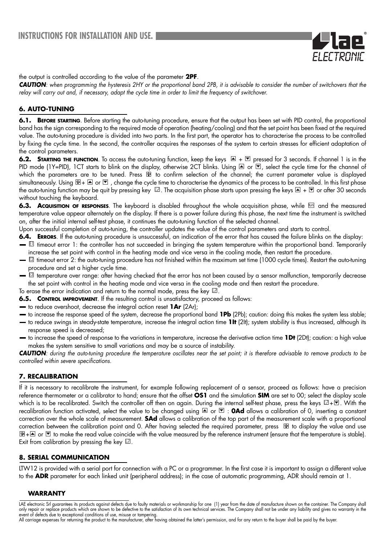

the output is controlled according to the value of the parameter **2PF**.

*CAUTION: when programming the hysteresis 2HY or the proportional band 2PB, it is advisable to consider the number of switchovers that the* relay will carry out and, if necessary, adapt the cycle time in order to limit the frequency of switchover.

# **6. AUTO-TUNING**

**6.1. BEFORE STARTING**. Before starting the auto-tuning procedure, ensure that the output has been set with PID control, the proportional band has the sign corresponding to the required mode of operation (heating/cooling) and that the set point has been fixed at the required value. The auto-tuning procedure is divided into two parts. In the first part, the operator has to characterise the process to be controlled by fixing the cycle time. In the second, the controller acquires the responses of the system to certain stresses for efficient adaptation of the control parameters.

**6.2. STARTING THE FUNCTION**. To access the auto-tuning function, keep the keys  $A \rightharpoonup B$  pressed for 3 seconds. If channel 1 is in the PID mode (1Y=PID), 1CT starts to blink on the display, otherwise 2CT blinks. Using  $\triangleq$  or  $\Box$ , select the cycle time for the channel of which the parameters are to be tuned. Press is to confirm selection of the channel; the current parameter value is displayed simultaneously. Using  $\mathbb{F}_+ \triangleq$  or  $\mathbb{F}$ , change the cycle time to characterise the dynamics of the process to be controlled. In this first phase the auto-tuning function may be quit by pressing key  $\boxdot$ . The acquisition phase starts upon pressing the keys  $\blacksquare + \blacksquare$  or after 30 seconds without touching the keyboard.

**6.3. Acquisition of responses**. The keyboard is disabled throughout the whole acquisition phase, while <u>twol</u> and the measured temperature value appear alternately on the display. If there is a power failure during this phase, the next time the instrument is switched on, after the initial internal self-test phase, it continues the auto-tuning function of the selected channel.

Upon successful completion of auto-tuning, the controller updates the value of the control parameters and starts to control.

- **6.4. ERRORS**. If the auto-tuning procedure is unsuccessful, an indication of the error that has caused the failure blinks on the display:  $\boxdot$  timeout error 1: the controller has not succeeded in bringing the system temperature within the proportional band. Temporarily increase the set point with control in the heating mode and vice versa in the cooling mode, then restart the procedure.
- $\boxdot$  timeout error 2: the auto-tuning procedure has not finished within the maximum set time (1000 cycle times). Restart the auto-tuning procedure and set a higher cycle time.
- $\boxdot$  temperature over range: after having checked that the error has not been caused by a sensor malfunction, temporarily decrease the set point with control in the heating mode and vice versa in the cooling mode and then restart the procedure.
- To erase the error indication and return to the normal mode, press the key  $\mathbb{Z}$ .
- **6.5. CONTROL IMPROVEMENT**. If the resulting control is unsatisfactory, proceed as follows:
- to reduce overshoot, decrease the integral action reset **1Ar** (2Ar);
- to increase the response speed of the system, decrease the proportional band **1Pb** (2Pb); caution: doing this makes the system less stable; to reduce swings in steady-state temperature, increase the integral action time **1It** (2It); system stability is thus increased, although its response speed is decreased;
- to increase the speed of response to the variations in temperature, increase the derivative action time **1Dt** (2Dt); caution: a high value makes the system sensitive to small variations and may be a source of instability.

*CAUTION: during the auto-tuning procedure the temperature oscillates near the set point; it is therefore advisable to remove products to be controlled within severe specifications.* 

### **7. RECALIBRATION**

If it is necessary to recalibrate the instrument, for example following replacement of a sensor, proceed as follows: have a precision reference thermometer or a calibrator to hand; ensure that the offset **OS1** and the simulation **SIM** are set to 00; select the display scale which is to be recalibrated. Switch the controller off then on again. During the internal self-test phase, press the keys  $\boxtimes$  + $\blacksquare$ . With the recalibration function activated, select the value to be changed using  $\Box$  or  $\Box$  : **0Ad** allows a calibration of 0, inserting a constant correction over the whole scale of measurement. **SAd** allows a calibration of the top part of the measurement scale with a proportional correction between the calibration point and 0. After having selected the required parameter, press  $\blacksquare$  to display the value and use  $E + \Delta$  or  $\Box$  to make the read value coincide with the value measured by the reference instrument (ensure that the temperature is stable). Exit from calibration by pressing the key  $\boxtimes$ .

### **8. SERIAL COMMUNICATION**

LTW12 is provided with a serial port for connection with a PC or a programmer. In the first case it is important to assign a different value to the **ADR** parameter for each linked unit (peripheral address); in the case of automatic programming, ADR should remain at 1.

### **WARRANTY**

LAE electronic Srl guarantees its products against defects due to faulty materials or workmanship for one (1) year from the date of manufacture shown on the container. The Company shall only repair or replace products which are shown to be defective to the satisfaction of its own technical services. The Company shall not be under any liability and gives no warranty in the event of defects due to exceptional conditions of use, misuse or tampering.

All carriage expenses for returning the product to the manufacturer, after having obtained the latter's permission, and for any return to the buyer shall be paid by the buyer.